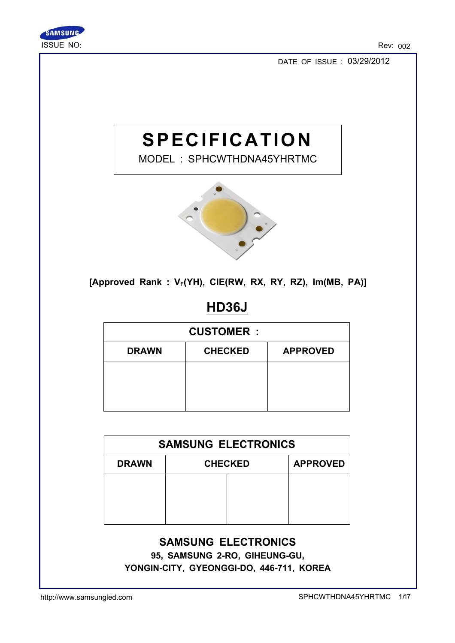

DATE OF ISSUE : 03/29/2012

# **SPECIFICATION**

MODEL : SPHCWTHDNA45YHRTMC



[Approved Rank :  $V_F(YH)$ , CIE(RW, RX, RY, RZ), Im(MB, PA)]

# HD36J

|              | <b>CUSTOMER:</b> |                 |  |  |
|--------------|------------------|-----------------|--|--|
| <b>DRAWN</b> | <b>CHECKED</b>   | <b>APPROVED</b> |  |  |
|              |                  |                 |  |  |
|              |                  |                 |  |  |
|              |                  |                 |  |  |

| <b>SAMSUNG ELECTRONICS</b>                        |  |  |  |  |  |
|---------------------------------------------------|--|--|--|--|--|
| <b>APPROVED</b><br><b>CHECKED</b><br><b>DRAWN</b> |  |  |  |  |  |
|                                                   |  |  |  |  |  |
|                                                   |  |  |  |  |  |
|                                                   |  |  |  |  |  |

#### SAMSUNG ELECTRONICS

95, SAMSUNG 2-RO, GIHEUNG-GU, YONGIN-CITY, GYEONGGI-DO, 446-711, KOREA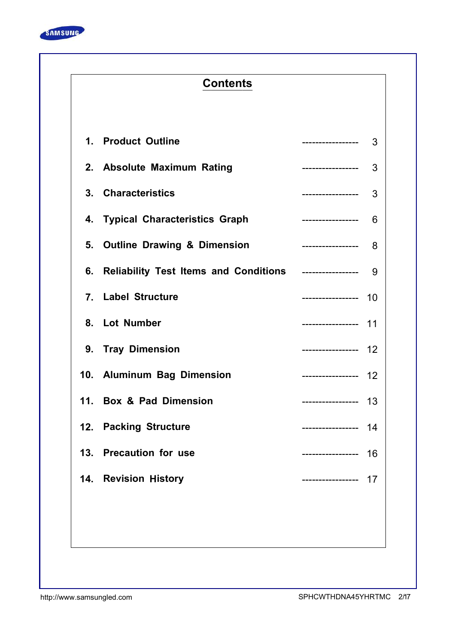

# **Contents**

| 1. Product Outline                                                      | -----------------     | 3  |
|-------------------------------------------------------------------------|-----------------------|----|
| 2. Absolute Maximum Rating                                              | __________________    | 3  |
| 3. Characteristics                                                      | ------------------ 3  |    |
| 4. Typical Characteristics Graph                                        | ------------------- 6 |    |
| 5. Outline Drawing & Dimension <b>Fig. 1. 1998</b> 2----------------- 8 |                       |    |
| 6. Reliability Test Items and Conditions ----------------- 9            |                       |    |
| 7. Label Structure                                                      | ----------------- 10  |    |
| 8. Lot Number                                                           | ----------------- 11  |    |
| 9. Tray Dimension                                                       | ----------------- 12  |    |
| 10. Aluminum Bag Dimension                                              | ------------------ 12 |    |
| 11. Box & Pad Dimension                                                 | ------------------ 13 |    |
| 12. Packing Structure                                                   | ----------------- 14  |    |
| 13. Precaution for use                                                  | ------------------ 16 |    |
| 14. Revision History                                                    |                       | 17 |
|                                                                         |                       |    |
|                                                                         |                       |    |
|                                                                         |                       |    |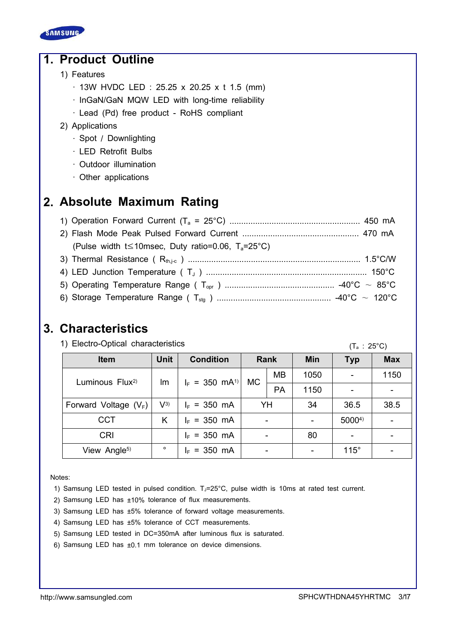

# 1. Product Outline

- 1) Features
	- · 13W HVDC LED : 25.25 x 20.25 x t 1.5 (mm)
	- · InGaN/GaN MQW LED with long-time reliability
	- · Lead (Pd) free product RoHS compliant

#### 2) Applications

- · Spot / Downlighting
- · LED Retrofit Bulbs
- · Outdoor illumination
- · Other applications

# 2. Absolute Maximum Rating

| (Pulse width t \less 10msec, Duty ratio=0.06, $T_a = 25^{\circ}C$ ) |  |
|---------------------------------------------------------------------|--|
|                                                                     |  |
|                                                                     |  |
|                                                                     |  |
|                                                                     |  |

### 3. Characteristics

1) Electro-Optical characteristics

 $(T_a : 25^{\circ}C)$ 

| <b>Item</b>                 | <b>Unit</b> | <b>Condition</b>             |     | Rank      | <b>Min</b> | <b>Typ</b>  | <b>Max</b> |
|-----------------------------|-------------|------------------------------|-----|-----------|------------|-------------|------------|
| Luminous Flux <sup>2)</sup> | lm          | $I_F = 350$ mA <sup>1)</sup> | MC. | <b>MB</b> | 1050       |             | 1150       |
|                             |             |                              |     | PA        | 1150       |             |            |
| Forward Voltage $(V_F)$     | $V^{3)}$    | $I_F = 350$ mA               |     | YH        | 34         | 36.5        | 38.5       |
| <b>CCT</b>                  | Κ           | $I_F = 350$ mA               |     |           |            | 50004)      |            |
| <b>CRI</b>                  |             | $I_F = 350$ mA               |     |           | 80         |             |            |
| View Angle <sup>5)</sup>    | $\circ$     | $I_F = 350$ mA               |     |           |            | $115^\circ$ |            |

Notes:

- 1) Samsung LED tested in pulsed condition.  $T_J=25^{\circ}C$ , pulse width is 10ms at rated test current.
- 2) Samsung LED has ±10% tolerance of flux measurements.
- 3) Samsung LED has ±5% tolerance of forward voltage measurements.
- 4) Samsung LED has ±5% tolerance of CCT measurements.
- 5) Samsung LED tested in DC=350mA after luminous flux is saturated.
- 6) Samsung LED has ±0.1 mm tolerance on device dimensions.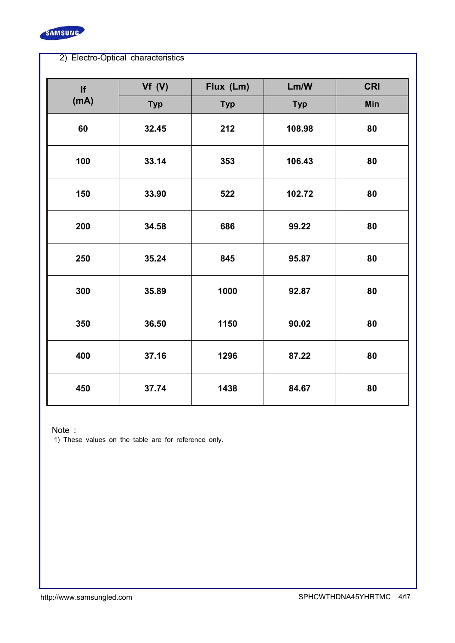

| <b>If</b> | Vf(V)      | Flux (Lm)  | Lm/W       | <b>CRI</b> |
|-----------|------------|------------|------------|------------|
| (mA)      | <b>Typ</b> | <b>Typ</b> | <b>Typ</b> | <b>Min</b> |
| 60        | 32.45      | 212        | 108.98     | 80         |
| 100       | 33.14      | 353        | 106.43     | 80         |
| 150       | 33.90      | 522        | 102.72     | 80         |
| 200       | 34.58      | 686        | 99.22      | 80         |
| 250       | 35.24      | 845        | 95.87      | 80         |
| 300       | 35.89      | 1000       | 92.87      | 80         |
| 350       | 36.50      | 1150       | 90.02      | 80         |
| 400       | 37.16      | 1296       | 87.22      | 80         |
| 450       | 37.74      | 1438       | 84.67      | 80         |

Note :

1) These values on the table are for reference only.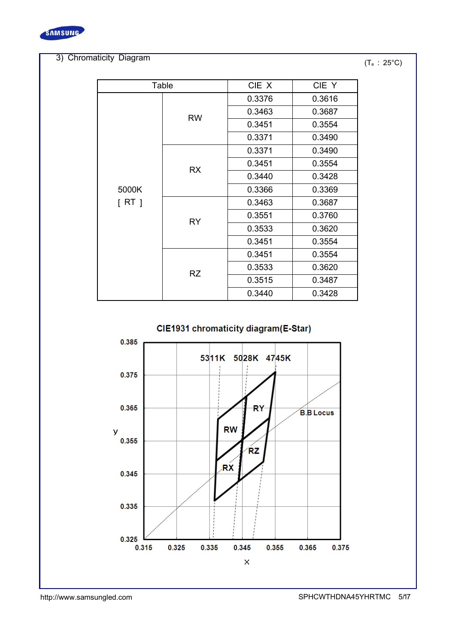

#### 3) Chromaticity Diagram

 $(T_a : 25^{\circ}C)$ 

| Table  |           | CIE X  | CIE Y  |
|--------|-----------|--------|--------|
|        |           | 0.3376 | 0.3616 |
|        | <b>RW</b> | 0.3463 | 0.3687 |
|        |           | 0.3451 | 0.3554 |
|        |           | 0.3371 | 0.3490 |
|        |           | 0.3371 | 0.3490 |
|        |           | 0.3451 | 0.3554 |
|        | <b>RX</b> | 0.3440 | 0.3428 |
| 5000K  |           | 0.3366 | 0.3369 |
| [ RT ] |           | 0.3463 | 0.3687 |
|        | <b>RY</b> | 0.3551 | 0.3760 |
|        |           | 0.3533 | 0.3620 |
|        |           | 0.3451 | 0.3554 |
|        |           | 0.3451 | 0.3554 |
|        | <b>RZ</b> | 0.3533 | 0.3620 |
|        |           | 0.3515 | 0.3487 |
|        |           | 0.3440 | 0.3428 |

#### CIE1931 chromaticity diagram(E-Star)

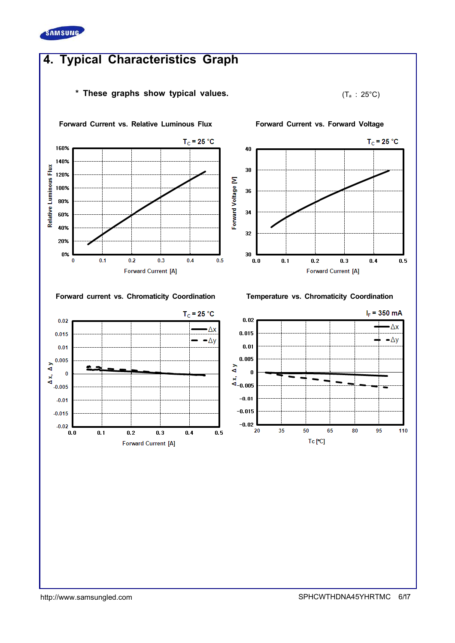

 $0.02$ 

 $0.015$ 

 $0.01$ 

 $\overline{0}$  $x_0$ <br> $x_1$  0<br> $x_2$  0.005

 $-0.01$ 

 $-0.015$ 

 $-0.02$ 

 $0.0$ 

 $\overline{0.1}$ 

 $\overline{0.2}$ 

 $0.3$ 

**Forward Current [A]** 

 $0.4$ 

 $rac{0.01}{4}$ 

# 4. Typical Characteristics Graph

#### \* These graphs show typical values.  $(T_a : 25^{\circ}C)$





#### Forward current vs. Chromaticity Coordination Temperature vs. Chromaticity Coordination

 $T_c = 25 °C$ 

Δx

 $-\Delta y$ 

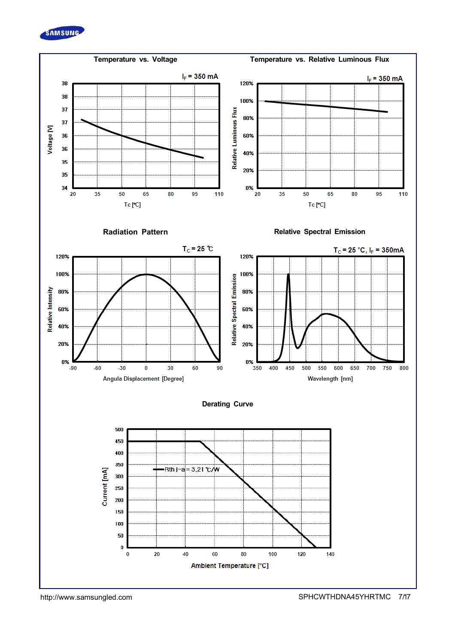

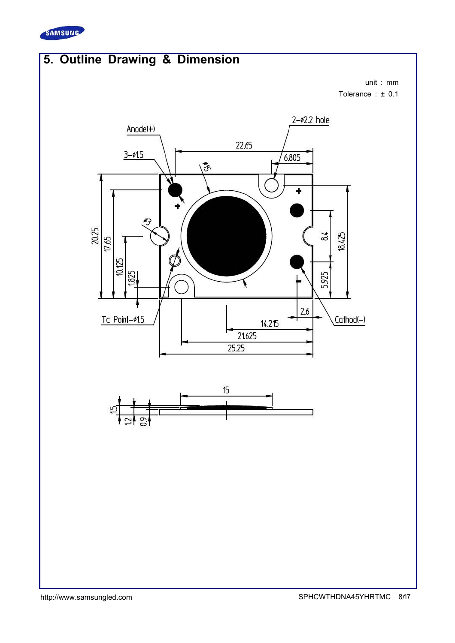

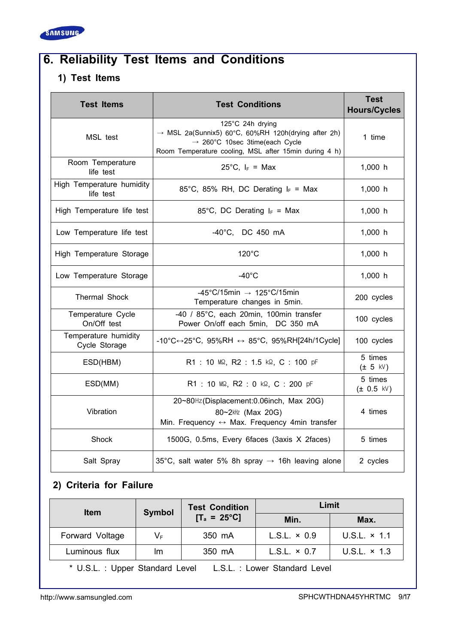

# 6. Reliability Test Items and Conditions

#### 1) Test Items

| <b>Test Items</b>                      | <b>Test Conditions</b>                                                                                                                                                                     | <b>Test</b><br><b>Hours/Cycles</b> |
|----------------------------------------|--------------------------------------------------------------------------------------------------------------------------------------------------------------------------------------------|------------------------------------|
| MSL test                               | 125°C 24h drying<br>$\rightarrow$ MSL 2a(Sunnix5) 60°C, 60%RH 120h(drying after 2h)<br>$\rightarrow$ 260°C 10sec 3time(each Cycle<br>Room Temperature cooling, MSL after 15min during 4 h) | 1 time                             |
| Room Temperature<br>life test          | 25°C, $I_F$ = Max                                                                                                                                                                          | 1,000 h                            |
| High Temperature humidity<br>life test | 85°C, 85% RH, DC Derating $I_F$ = Max                                                                                                                                                      | 1,000 h                            |
| High Temperature life test             | 85°C, DC Derating $I_F$ = Max                                                                                                                                                              | 1,000 h                            |
| Low Temperature life test              | $-40^{\circ}$ C, DC 450 mA                                                                                                                                                                 | 1,000 h                            |
| High Temperature Storage               | $120^{\circ}$ C                                                                                                                                                                            | 1,000 h                            |
| Low Temperature Storage                | $-40^{\circ}$ C                                                                                                                                                                            | 1,000 h                            |
| <b>Thermal Shock</b>                   | -45°C/15min $\rightarrow$ 125°C/15min<br>Temperature changes in 5min.                                                                                                                      | 200 cycles                         |
| Temperature Cycle<br>On/Off test       | -40 / 85°C, each 20min, 100min transfer<br>Power On/off each 5min, DC 350 mA                                                                                                               | 100 cycles                         |
| Temperature humidity<br>Cycle Storage  | $-10^{\circ}$ C $\leftrightarrow$ 25°C, 95%RH $\leftrightarrow$ 85°C, 95%RH[24h/1Cycle]                                                                                                    | 100 cycles                         |
| ESD(HBM)                               | R1: 10 MQ, R2: 1.5 kQ, C: 100 pF                                                                                                                                                           | 5 times<br>$(± 5$ kV)              |
| ESD(MM)                                | R1: 10 MΩ, R2: 0 kΩ, C: 200 pF                                                                                                                                                             | 5 times<br>(± 0.5 kV)              |
| Vibration                              | 20~80Hz(Displacement:0.06inch, Max 20G)<br>80~2kHz (Max 20G)<br>Min. Frequency $\leftrightarrow$ Max. Frequency 4min transfer                                                              | 4 times                            |
| Shock                                  | 1500G, 0.5ms, Every 6faces (3axis X 2faces)                                                                                                                                                | 5 times                            |
| Salt Spray                             | 35°C, salt water 5% 8h spray $\rightarrow$ 16h leaving alone                                                                                                                               | 2 cycles                           |

### 2) Criteria for Failure

| <b>Item</b>     | Symbol  | <b>Test Condition</b> | Limit               |                     |
|-----------------|---------|-----------------------|---------------------|---------------------|
|                 |         | $[T_a = 25^{\circ}C]$ | Min.                | Max.                |
| Forward Voltage | $V_{F}$ | 350 mA                | $L.S.L. \times 0.9$ | U.S.L. $\times$ 1.1 |
| Luminous flux   | Im      | 350 mA                | $L.S.L. \times 0.7$ | U.S.L. $\times$ 1.3 |

\* U.S.L. : Upper Standard Level L.S.L. : Lower Standard Level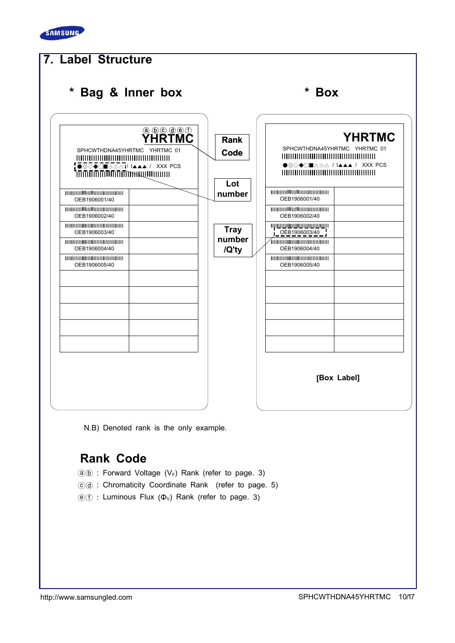



N.B) Denoted rank is the only example.

### Rank Code

- $(a)(b)$  : Forward Voltage (V<sub>F</sub>) Rank (refer to page. 3)
- ⓒⓓ : Chromaticity Coordinate Rank (refer to page. 5)
- $(\widehat{e})(\widehat{f})$  : Luminous Flux  $(\Phi_{V})$  Rank (refer to page. 3)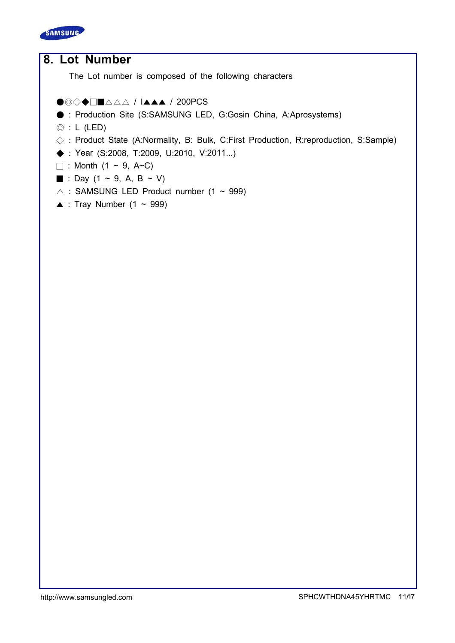

# 8. Lot Number The Lot number is composed of the following characters

#### ●◎◇◆□■△△△ / I▲▲▲ / 200PCS

- : Production Site (S:SAMSUNG LED, G:Gosin China, A:Aprosystems)
- $\circledcirc$  : L (LED)
- $\Diamond$ : Product State (A:Normality, B: Bulk, C:First Production, R:reproduction, S:Sample)
- ◆ : Year (S:2008, T:2009, U:2010, V:2011...)
- $\Box$  : Month (1 ~ 9, A~C)
- : Day (1 ~ 9, A, B ~ V)
- $\triangle$  : SAMSUNG LED Product number (1 ~ 999)
- $\triangle$  : Tray Number (1 ~ 999)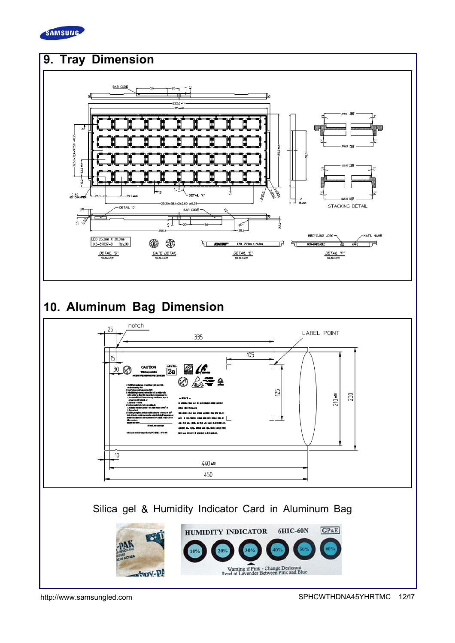

# 9. Tray Dimension



# 10. Aluminum Bag Dimension

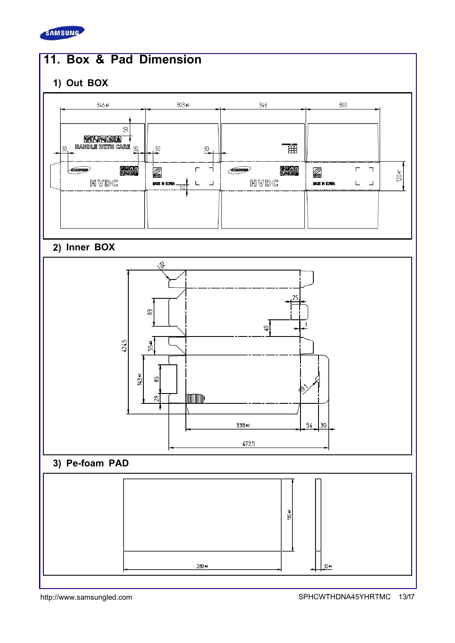

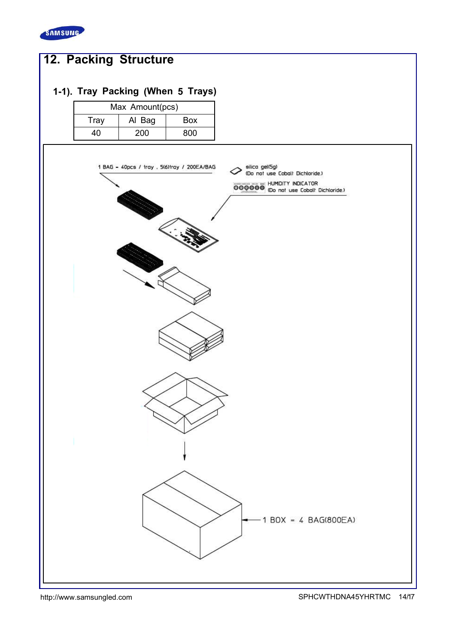

# 12. Packing Structure

### 1-1). Tray Packing (When 5 Trays)

| Max Amount(pcs)       |     |     |  |  |
|-----------------------|-----|-----|--|--|
| Tray<br>Al Bag<br>Box |     |     |  |  |
| 10.                   | 200 | 800 |  |  |

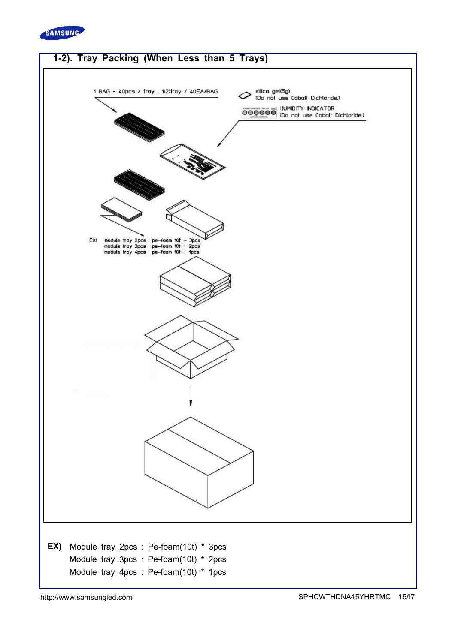

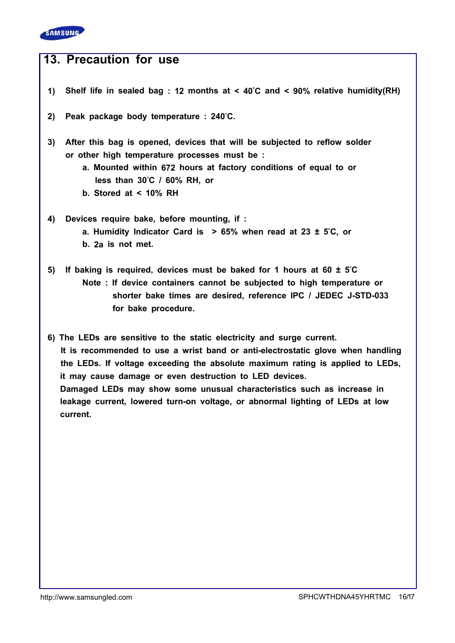

## 13. Precaution for use

- 1) Shelf life in sealed bag : 12 months at < 40°C and < 90% relative humidity(RH)
- 2) Peak package body temperature : 240°C.
- 3) After this bag is opened, devices that will be subjected to reflow solder or other high temperature processes must be :
	- a. Mounted within 672 hours at factory conditions of equal to or less than 30°C / 60% RH, or
	- b. Stored at < 10% RH
- 4) Devices require bake, before mounting, if : a. Humidity Indicator Card is  $> 65\%$  when read at 23 ± 5°C, or b. 2a is not met.
- 5) If baking is required, devices must be baked for 1 hours at 60 ± 5°C Note : If device containers cannot be subjected to high temperature or shorter bake times are desired, reference IPC / JEDEC J-STD-033 for bake procedure.

6) The LEDs are sensitive to the static electricity and surge current. It is recommended to use a wrist band or anti-electrostatic glove when handling the LEDs. If voltage exceeding the absolute maximum rating is applied to LEDs, it may cause damage or even destruction to LED devices. Damaged LEDs may show some unusual characteristics such as increase in leakage current, lowered turn-on voltage, or abnormal lighting of LEDs at low current.